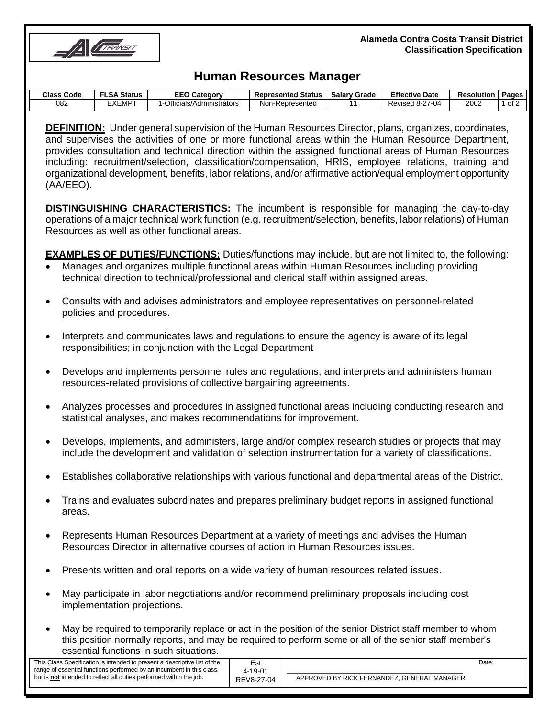

#### **Alameda Contra Costa Transit District Classification Specification**

# **Human Resources Manager**

| Class<br>: Code | <b>LSA Status</b> | <b>EEO Category</b>      | <b>Represented Status</b> | <b>Salary Grade</b> | <b>Effective Date</b>  | Resolution | Pages |
|-----------------|-------------------|--------------------------|---------------------------|---------------------|------------------------|------------|-------|
| 082             | EXEMPT            | Officials/Administrators | Non-Represented           |                     | <b>Revised 8-27-04</b> | 2002       | of 2  |

**DEFINITION:** Under general supervision of the Human Resources Director, plans, organizes, coordinates, and supervises the activities of one or more functional areas within the Human Resource Department, provides consultation and technical direction within the assigned functional areas of Human Resources including: recruitment/selection, classification/compensation, HRIS, employee relations, training and organizational development, benefits, labor relations, and/or affirmative action/equal employment opportunity (AA/EEO).

**DISTINGUISHING CHARACTERISTICS:** The incumbent is responsible for managing the day-to-day operations of a major technical work function (e.g. recruitment/selection, benefits, labor relations) of Human Resources as well as other functional areas.

**EXAMPLES OF DUTIES/FUNCTIONS:** Duties/functions may include, but are not limited to, the following:

- Manages and organizes multiple functional areas within Human Resources including providing technical direction to technical/professional and clerical staff within assigned areas.
- Consults with and advises administrators and employee representatives on personnel-related policies and procedures.
- Interprets and communicates laws and regulations to ensure the agency is aware of its legal responsibilities; in conjunction with the Legal Department
- Develops and implements personnel rules and regulations, and interprets and administers human resources-related provisions of collective bargaining agreements.
- Analyzes processes and procedures in assigned functional areas including conducting research and statistical analyses, and makes recommendations for improvement.
- Develops, implements, and administers, large and/or complex research studies or projects that may include the development and validation of selection instrumentation for a variety of classifications.
- Establishes collaborative relationships with various functional and departmental areas of the District.
- Trains and evaluates subordinates and prepares preliminary budget reports in assigned functional areas.
- Represents Human Resources Department at a variety of meetings and advises the Human Resources Director in alternative courses of action in Human Resources issues.
- Presents written and oral reports on a wide variety of human resources related issues.
- May participate in labor negotiations and/or recommend preliminary proposals including cost implementation projections.

Est 4-19-01 REV8-27-04

• May be required to temporarily replace or act in the position of the senior District staff member to whom this position normally reports, and may be required to perform some or all of the senior staff member's essential functions in such situations.

This Class Specification is intended to present a descriptive list of the range of essential functions performed by an incumbent in this class, but is **not** intended to reflect all duties performed within the job.

\_\_\_\_\_\_\_\_\_\_\_\_\_\_\_\_\_\_\_\_\_\_\_\_\_\_\_\_\_\_\_\_\_\_\_\_\_\_\_ APPROVED BY RICK FERNANDEZ, GENERAL MANAGER Date: